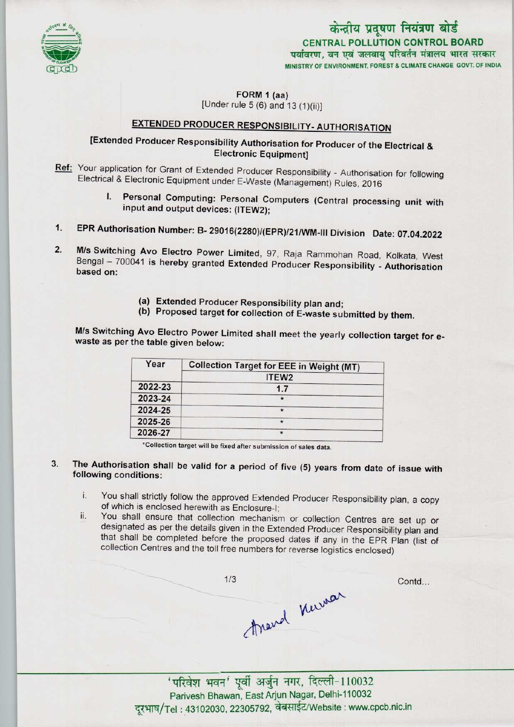

CENTRAL POLLUTION CONTROL BOARD<br>विरण, वन एवं जलवायु परिवर्तन मंत्रालय भारत सर

MINISTRY OF ENVIRONMENT, FOREST & CLIMATE CHANGE GOVT. OF INDIA

FORM 1 (aa)

[Under rule  $5(6)$  and  $13(1)(ii)$ ]

# EXTENDED PRODUCER RESPONSIBILITY- AUTHORISATION

## [Extended Producer Responsibility Authorisation for Producer of the Electrical & Electronic Equipment)

- Ref: Your application for Grant of Extended Producer Responsibility Authorisation for following Electrical & Electronic Equipment under E-Waste (Management) Rules, 2016
	- I. Personal Computing: Personal Computers (Central processing unit with input and output devices: (1TEW2);
- 1.EPR Authorisation Number: B- 29016(2280)/(EPR)/21/WM-lll Division Date: 07.04.2022
- 2. M/s Switching Avo Electro Power Limited, 97, Raja Rammohan Road, Kolkata, West Bengal - 700041 is hereby granted Extended Producer Responsibility - Authorisation based on:
	- (a)Extended Producer Responsibility plan and;
	- (b) Proposed target for collection of E-waste submitted by them.

M/s Switching Avo Electro Power Limited shall meet the yearly collection target for ewaste as per the table given below:

| Year    | <b>Collection Target for EEE in Weight (MT)</b> |
|---------|-------------------------------------------------|
|         | ITEW <sub>2</sub>                               |
| 2022-23 | 1.7                                             |
| 2023-24 | $\star$                                         |
| 2024-25 | $\star$                                         |
| 2025-26 | $\star$                                         |
| 2026-27 | $\star$                                         |

•Collection target will be fixed after submission of sales data-

- The Authorisation shall be valid for a period of five (5) years from date of issue with 3. following conditions:
	- i. You shall strictly follow the approved Extended Producer Responsibility plan, <sup>a</sup> copy of which is enclosed herewith as Enclosure-I;
	- ii. You shall ensure that collection mechanism or collection Centres are set up or designated as per the details given in the Extended Producer Responsibility plan and that shall be completed before the proposed dates if any in the EPR Plan (list of collection Centres and the toll free numbers for reverse logistics enclosed)

 $1/3$ Contd... Arand Kurner

jftjt;i ^^ jf ^ , Parivesh Bhawan, East Arjun Nagar, Delhi-110032 दरभाष/Tel: 43102030, 22305792, वेबसाईट/Website: www.cpcb.nic.in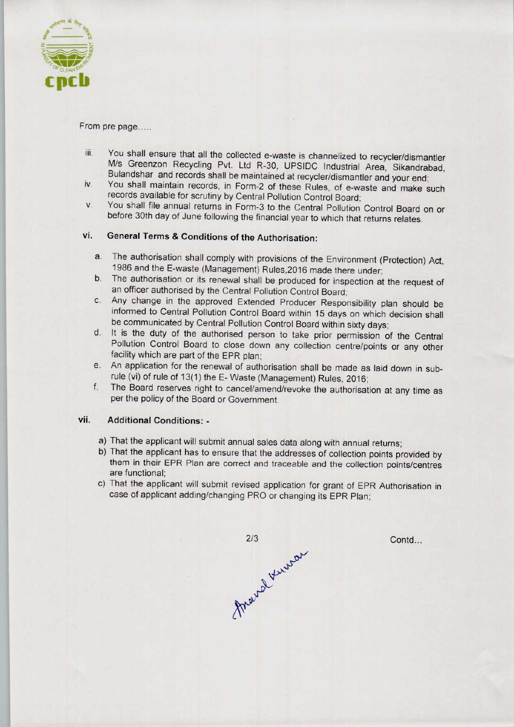

#### From pre page.....

- iii. You shall ensure that all the collected e-waste is channelized to recycler/dismantler M/s Greenzon Recycling Pvt. Ltd R-30, UPSIDC Industrial Area, Sikandrabad, Bulandshar and records shall be maintained at recycler/dismantler and your end;
- iv. You shall maintain records, in Form-2 of these Rules, of e-waste and make such records available for scrutiny by Central Pollution Control Board;
- v. You shall file annual returns in Form-3 to the Central Pollution Control Board on or before 30th day of June following the financial year to which that returns relates.

### vi. General Terms & Conditions of the Authorisation:

- a.The authorisation shall comply with provisions of the Environment (Protection) Act, 1986 and the E-waste (Management) Rules,2016 made there under;
- b. The authorisation or its renewal shall be produced for inspection at the request of an officer authorised by the Central Pollution Control Board;
- c.Any change in the approved Extended Producer Responsibility plan should be informed to Central Pollution Control Board within 15 days on which decision shall be communicated by Central Pollution Control Board within sixty days;
- d. It is the duty of the authorised person to take prior permission of the Central Pollution Control Board to close down any collection centre/points or any other facility which are part of the EPR plan;
- e. An application for the renewal of authorisation shall be made as laid down in subrule (vi) of rule of 13(1) the E- Waste (Management) Rules, 2016;
- f. The Board reserves right to cancel/amend/revoke the authorisation at any time as per the policy of the Board or Government.

#### vii. Additional Conditions: -

- a)That the applicant will submit annual sales data along with annual returns;
- b)That the applicant has to ensure that the addresses of collection points provided by them in their EPR Plan are correct and traceable and the collection points/centres are functional;
- c) That the applicant will submit revised application for grant of EPR Authorisation in case of applicant adding/changing PRO or changing its EPR Plan;

marral Venocan  $2/3$ 

Contd...